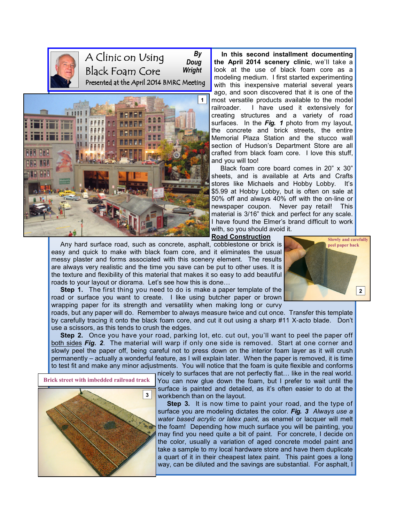

A Clinic on Using Black Foam Core Presented at the April 2014 BMRC Meeting By Doug Wright



 In this second installment documenting the April 2014 scenery clinic, we'll take a look at the use of black foam core as a modeling medium. I first started experimenting with this inexpensive material several years ago, and soon discovered that it is one of the most versatile products available to the model railroader. I have used it extensively for creating structures and a variety of road surfaces. In the Fig. 1 photo from my layout, the concrete and brick streets, the entire Memorial Plaza Station and the stucco wall section of Hudson's Department Store are all crafted from black foam core. I love this stuff, and you will too!

 Black foam core board comes in 20" x 30" sheets, and is available at Arts and Crafts stores like Michaels and Hobby Lobby. It's \$5.99 at Hobby Lobby, but is often on sale at 50% off and always 40% off with the on-line or newspaper coupon. Never pay retail! This material is 3/16" thick and perfect for any scale. I have found the Elmer's brand difficult to work with, so you should avoid it.

Road Construction

 Any hard surface road, such as concrete, asphalt, cobblestone or brick is easy and quick to make with black foam core, and it eliminates the usual messy plaster and forms associated with this scenery element. The results are always very realistic and the time you save can be put to other uses. It is the texture and flexibility of this material that makes it so easy to add beautiful roads to your layout or diorama. Let's see how this is done...



Step 1. The first thing you need to do is make a paper template of the road or surface you want to create. I like using butcher paper or brown wrapping paper for its strength and versatility when making long or curvy

roads, but any paper will do. Remember to always measure twice and cut once. Transfer this template by carefully tracing it onto the black foam core, and cut it out using a sharp #11 X-acto blade. Don't use a scissors, as this tends to crush the edges.

Step 2. Once you have your road, parking lot, etc. cut out, you'll want to peel the paper off both sides Fig. 2. The material will warp if only one side is removed. Start at one corner and slowly peel the paper off, being careful not to press down on the interior foam layer as it will crush permanently – actually a wonderful feature, as I will explain later. When the paper is removed, it is time to test fit and make any minor adjustments. You will notice that the foam is quite flexible and conforms



nicely to surfaces that are not perfectly flat... like in the real world. You can now glue down the foam, but I prefer to wait until the surface is painted and detailed, as it's often easier to do at the workbench than on the layout.

Step 3. It is now time to paint your road, and the type of surface you are modeling dictates the color. Fig. 3 Always use a water based acrylic or latex paint, as enamel or lacquer will melt the foam! Depending how much surface you will be painting, you may find you need quite a bit of paint. For concrete, I decide on the color, usually a variation of aged concrete model paint and take a sample to my local hardware store and have them duplicate a quart of it in their cheapest latex paint. This paint goes a long way, can be diluted and the savings are substantial. For asphalt, I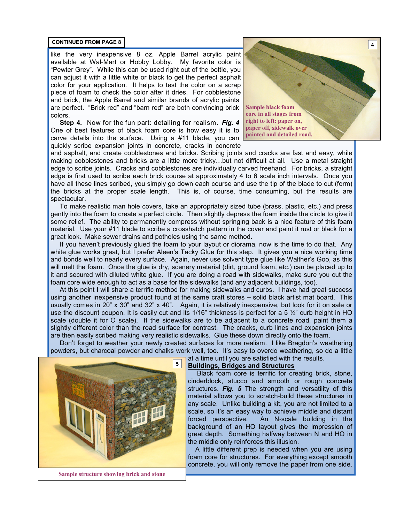like the very inexpensive 8 oz. Apple Barrel acrylic paint available at Wal-Mart or Hobby Lobby. My favorite color is "Pewter Grey". While this can be used right out of the bottle, you can adjust it with a little white or black to get the perfect asphalt color for your application. It helps to test the color on a scrap piece of foam to check the color after it dries. For cobblestone and brick, the Apple Barrel and similar brands of acrylic paints are perfect. "Brick red" and "barn red" are both convincing brick colors.

Step 4. Now for the fun part: detailing for realism. Fig. 4 One of best features of black foam core is how easy it is to carve details into the surface. Using a #11 blade, you can quickly scribe expansion joints in concrete, cracks in concrete



and asphalt, and create cobblestones and bricks. Scribing joints and cracks are fast and easy, while making cobblestones and bricks are a little more tricky...but not difficult at all. Use a metal straight edge to scribe joints. Cracks and cobblestones are individually carved freehand. For bricks, a straight edge is first used to scribe each brick course at approximately 4 to 6 scale inch intervals. Once you have all these lines scribed, you simply go down each course and use the tip of the blade to cut (form) the bricks at the proper scale length. This is, of course, time consuming, but the results are spectacular.

 To make realistic man hole covers, take an appropriately sized tube (brass, plastic, etc.) and press gently into the foam to create a perfect circle. Then slightly depress the foam inside the circle to give it some relief. The ability to permanently compress without springing back is a nice feature of this foam material. Use your #11 blade to scribe a crosshatch pattern in the cover and paint it rust or black for a great look. Make sewer drains and potholes using the same method.

 If you haven't previously glued the foam to your layout or diorama, now is the time to do that. Any white glue works great, but I prefer Aleen's Tacky Glue for this step. It gives you a nice working time and bonds well to nearly every surface. Again, never use solvent type glue like Walther's Goo, as this will melt the foam. Once the glue is dry, scenery material (dirt, ground foam, etc.) can be placed up to it and secured with diluted white glue. If you are doing a road with sidewalks, make sure you cut the foam core wide enough to act as a base for the sidewalks (and any adjacent buildings, too).

 At this point I will share a terrific method for making sidewalks and curbs. I have had great success using another inexpensive product found at the same craft stores – solid black artist mat board. This usually comes in 20" x 30" and 32" x 40". Again, it is relatively inexpensive, but look for it on sale or use the discount coupon. It is easily cut and its 1/16" thickness is perfect for a 5  $\frac{1}{2}$ " curb height in HO scale (double it for O scale). If the sidewalks are to be adjacent to a concrete road, paint them a slightly different color than the road surface for contrast. The cracks, curb lines and expansion joints are then easily scribed making very realistic sidewalks. Glue these down directly onto the foam.

 Don't forget to weather your newly created surfaces for more realism. I like Bragdon's weathering powders, but charcoal powder and chalks work well, too. It's easy to overdo weathering, so do a little



Sample structure showing brick and stone

## Buildings, Bridges and Structures

at a time until you are satisfied with the results.

 Black foam core is terrific for creating brick, stone, cinderblock, stucco and smooth or rough concrete structures. Fig. 5 The strength and versatility of this material allows you to scratch-build these structures in any scale. Unlike building a kit, you are not limited to a scale, so it's an easy way to achieve middle and distant forced perspective. An N-scale building in the background of an HO layout gives the impression of great depth. Something halfway between N and HO in the middle only reinforces this illusion.

 A little different prep is needed when you are using foam core for structures. For everything except smooth concrete, you will only remove the paper from one side.